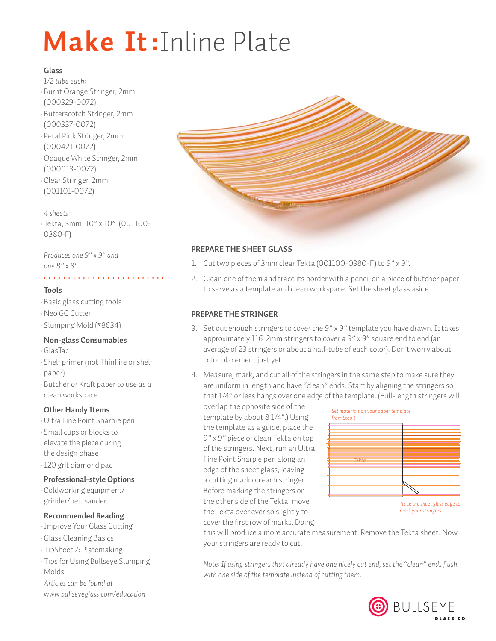# Make It:Inline Plate

# **Glass**

*1/2 tube each:*

- Burnt Orange Stringer, 2mm
- (000329-0072) • Butterscotch Stringer, 2mm
- (000337-0072)
- Petal Pink Stringer, 2mm (000421-0072)
- •Opaque White Stringer, 2mm (000013-0072)
- Clear Stringer, 2mm (001101-0072)

*4 sheets:* • Tekta, 3mm, 10" x 10" (001100- 0380-F)

*Produces one 9" x 9" and one 8" x 8".*

# **Tools**

- Basic glass cutting tools
- •Neo GC Cutter
- Slumping Mold (#8634)

# **Non-glass Consumables**

- GlasTac
- Shelf primer (not ThinFire or shelf paper)
- Butcher or Kraft paper to use as a clean workspace

# **Other Handy Items**

- •Ultra Fine Point Sharpie pen
- Small cups or blocks to elevate the piece during the design phase
- 120 grit diamond pad

# **Professional-style Options**

• Coldworking equipment/ grinder/belt sander

# **Recommended Reading**

- •Improve Your Glass Cutting
- Glass Cleaning Basics
- TipSheet 7: Platemaking
- Tips for Using Bullseye Slumping Molds

*Articles can be found at www.bullseyeglass.com/education*



# **Prepare the sheet glass**

- 1. Cut two pieces of 3mm clear Tekta (001100-0380-F) to 9" x 9".
- 2. Clean one of them and trace its border with a pencil on a piece of butcher paper to serve as a template and clean workspace. Set the sheet glass aside.

# **Prepare the stringer**

- 3. Set out enough stringers to cover the 9" x 9" template you have drawn. It takes approximately 116 2mm stringers to cover a 9" x 9" square end to end (an average of 23 stringers or about a half-tube of each color). Don't worry about color placement just yet.
- 4. Measure, mark, and cut all of the stringers in the same step to make sure they are uniform in length and have "clean" ends. Start by aligning the stringers so that 1/4" or less hangs over one edge of the template. (Full-length stringers will

overlap the opposite side of the template by about 8 1/4".) Using the template as a guide, place the 9" x 9" piece of clean Tekta on top of the stringers. Next, run an Ultra Fine Point Sharpie pen along an edge of the sheet glass, leaving a cutting mark on each stringer. Before marking the stringers on the other side of the Tekta, move the Tekta over ever so slightly to cover the first row of marks. Doing



this will produce a more accurate measurement. Remove the Tekta sheet. Now your stringers are ready to cut.

*Note: If using stringers that already have one nicely cut end, set the "clean" ends flush with one side of the template instead of cutting them.*